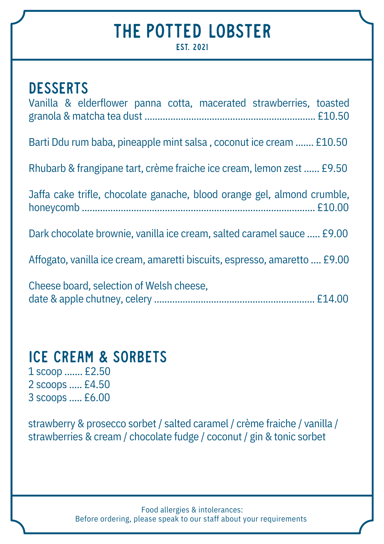## THE POTTED LOBSTER

**EST 2021** 

| <b>DESSERTS</b><br>Vanilla & elderflower panna cotta, macerated strawberries, toasted |
|---------------------------------------------------------------------------------------|
| Barti Ddu rum baba, pineapple mint salsa, coconut ice cream  £10.50                   |
| Rhubarb & frangipane tart, crème fraiche ice cream, lemon zest  £9.50                 |
| Jaffa cake trifle, chocolate ganache, blood orange gel, almond crumble,               |
| Dark chocolate brownie, vanilla ice cream, salted caramel sauce  £9.00                |
| Affogato, vanilla ice cream, amaretti biscuits, espresso, amaretto  £9.00             |
| Cheese board, selection of Welsh cheese,                                              |

### Ice cream & sorbets

1 scoop ....... £2.50 2 scoops ..... £4.50 3 scoops ..... £6.00

strawberry & prosecco sorbet / salted caramel / crème fraiche / vanilla / strawberries & cream / chocolate fudge / coconut / gin & tonic sorbet

> Food allergies & intolerances: Before ordering, please speak to our staff about your requirements